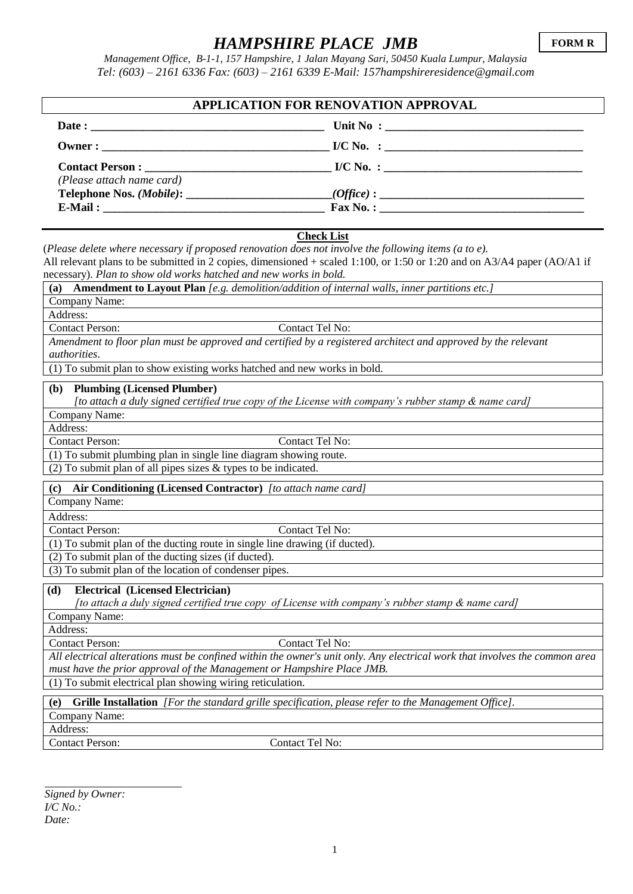## *HAMPSHIRE PLACE JMB*

*Management Office, B-1-1, 157 Hampshire, 1 Jalan Mayang Sari, 50450 Kuala Lumpur, Malaysia Tel: (603) – 2161 6336 Fax: (603) – 2161 6339 E-Mail: 157hampshireresidence@gmail.com*

| APPLICATION FOR RENOVATION APPROVAL |                     |  |
|-------------------------------------|---------------------|--|
|                                     |                     |  |
|                                     |                     |  |
|                                     |                     |  |
| (Please attach name card)           |                     |  |
|                                     |                     |  |
|                                     | $\text{Fax No. : }$ |  |

## **Check List**

(*Please delete where necessary if proposed renovation does not involve the following items (a to e).*  All relevant plans to be submitted in 2 copies, dimensioned + scaled 1:100, or 1:50 or 1:20 and on A3/A4 paper (AO/A1 if necessary). *Plan to show old works hatched and new works in bold.*

**(a) Amendment to Layout Plan** *[e.g. demolition/addition of internal walls, inner partitions etc.]*

Company Name:

Address:

Contact Person: Contact Tel No:

*Amendment to floor plan must be approved and certified by a registered architect and approved by the relevant authorities*.

(1) To submit plan to show existing works hatched and new works in bold.

**(b) Plumbing (Licensed Plumber)** 

*[to attach a duly signed certified true copy of the License with company's rubber stamp & name card]*

Company Name:

Address:

Contact Person: Contact Tel No:

(1) To submit plumbing plan in single line diagram showing route.

 $\overline{(2)$  To submit plan of all pipes sizes & types to be indicated.

**(c) Air Conditioning (Licensed Contractor)** *[to attach name card]*

Company Name:

Address:

Contact Person: Contact Tel No:

(1) To submit plan of the ducting route in single line drawing (if ducted).

(2) To submit plan of the ducting sizes (if ducted).

(3) To submit plan of the location of condenser pipes.

**(d) Electrical (Licensed Electrician)** 

 *[to attach a duly signed certified true copy of License with company's rubber stamp & name card]*

Company Name:

Address:

Contact Person: Contact Tel No:

*All electrical alterations must be confined within the owner's unit only. Any electrical work that involves the common area must have the prior approval of the Management or Hampshire Place JMB.*

(1) To submit electrical plan showing wiring reticulation.

**(e) Grille Installation** *[For the standard grille specification, please refer to the Management Office].* Company Name: Address: Contact Person: Contact Tel No:

*Signed by Owner: I/C No.: Date:*